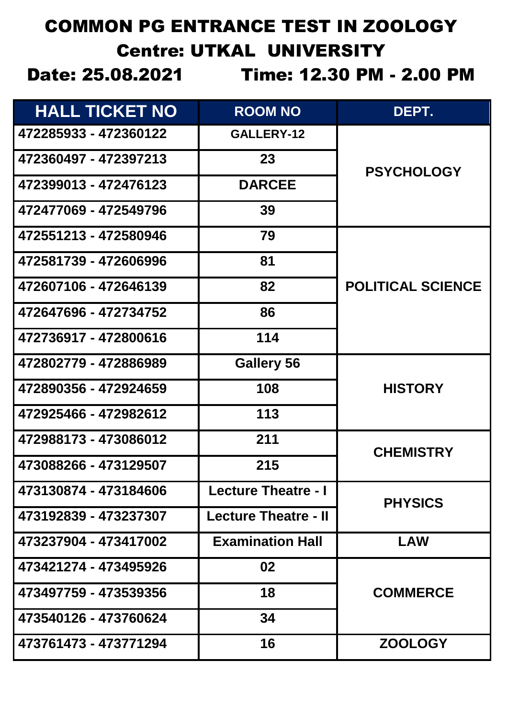## COMMON PG ENTRANCE TEST IN ZOOLOGY Centre: UTKAL UNIVERSITY

Date: 25.08.2021 Time: 12.30 PM - 2.00 PM

| <b>HALL TICKET NO</b> | <b>ROOM NO</b>              | DEPT.                    |
|-----------------------|-----------------------------|--------------------------|
| 472285933 - 472360122 | GALLERY-12                  |                          |
| 472360497 - 472397213 | 23                          | <b>PSYCHOLOGY</b>        |
| 472399013 - 472476123 | <b>DARCEE</b>               |                          |
| 472477069 - 472549796 | 39                          |                          |
| 472551213 - 472580946 | 79                          |                          |
| 472581739 - 472606996 | 81                          |                          |
| 472607106 - 472646139 | 82                          | <b>POLITICAL SCIENCE</b> |
| 472647696 - 472734752 | 86                          |                          |
| 472736917 - 472800616 | 114                         |                          |
| 472802779 - 472886989 | <b>Gallery 56</b>           |                          |
| 472890356 - 472924659 | 108                         | <b>HISTORY</b>           |
| 472925466 - 472982612 | 113                         |                          |
| 472988173 - 473086012 | 211                         | <b>CHEMISTRY</b>         |
| 473088266 - 473129507 | 215                         |                          |
| 473130874 - 473184606 | <b>Lecture Theatre - I</b>  | <b>PHYSICS</b>           |
| 473192839 - 473237307 | <b>Lecture Theatre - II</b> |                          |
| 473237904 - 473417002 | <b>Examination Hall</b>     | <b>LAW</b>               |
| 473421274 - 473495926 | 02                          |                          |
| 473497759 - 473539356 | 18                          | <b>COMMERCE</b>          |
| 473540126 - 473760624 | 34                          |                          |
| 473761473 - 473771294 | 16                          | <b>ZOOLOGY</b>           |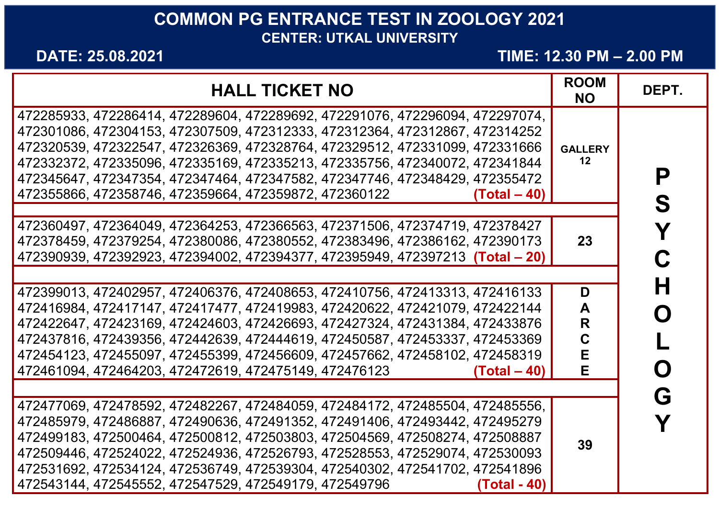## **COMMON PG ENTRANCE TEST IN ZOOLOGY 2021 CENTER: UTKAL UNIVERSITY**

**DATE: 25.08.2021 TIME: 12.30 PM – 2.00 PM**

| <b>HALL TICKET NO</b>                                                                                                                                                                                                                                                                                                                                                                                                                                                               | <b>ROOM</b><br><b>NO</b>   | DEPT.       |
|-------------------------------------------------------------------------------------------------------------------------------------------------------------------------------------------------------------------------------------------------------------------------------------------------------------------------------------------------------------------------------------------------------------------------------------------------------------------------------------|----------------------------|-------------|
| 472285933, 472286414, 472289604, 472289692, 472291076, 472296094, 472297074,<br>472301086, 472304153, 472307509, 472312333, 472312364, 472312867, 472314252<br>472320539, 472322547, 472326369, 472328764, 472329512, 472331099, 472331666<br>472332372, 472335096, 472335169, 472335213, 472335756, 472340072, 472341844<br>472345647, 472347354, 472347464, 472347582, 472347746, 472348429, 472355472<br>472355866, 472358746, 472359664, 472359872, 472360122<br>$(Total - 40)$ | <b>GALLERY</b><br>$12 \,$  | Р<br>S      |
| 472360497, 472364049, 472364253, 472366563, 472371506, 472374719, 472378427<br>472378459, 472379254, 472380086, 472380552, 472383496, 472386162, 472390173<br>472390939, 472392923, 472394002, 472394377, 472395949, 472397213 (Total - 20)                                                                                                                                                                                                                                         | 23                         | Y<br>C      |
| 472399013, 472402957, 472406376, 472408653, 472410756, 472413313, 472416133<br>472416984, 472417147, 472417477, 472419983, 472420622, 472421079, 472422144<br>472422647, 472423169, 472424603, 472426693, 472427324, 472431384, 472433876<br>472437816, 472439356, 472442639, 472444619, 472450587, 472453337, 472453369<br>472454123, 472455097, 472455399, 472456609, 472457662, 472458102, 472458319<br>472461094, 472464203, 472472619, 472475149, 472476123<br>$(Total - 40)$  | D<br>A<br>R<br>C<br>Е<br>Е | H<br>O<br>O |
| 472477069, 472478592, 472482267, 472484059, 472484172, 472485504, 472485556,<br>472485979, 472486887, 472490636, 472491352, 472491406, 472493442, 472495279<br>472499183, 472500464, 472500812, 472503803, 472504569, 472508274, 472508887<br>472509446, 472524022, 472524936, 472526793, 472528553, 472529074, 472530093<br>472531692, 472534124, 472536749, 472539304, 472540302, 472541702, 472541896<br>472543144, 472545552, 472547529, 472549179, 472549796<br>(Total - 40)   | 39                         | G           |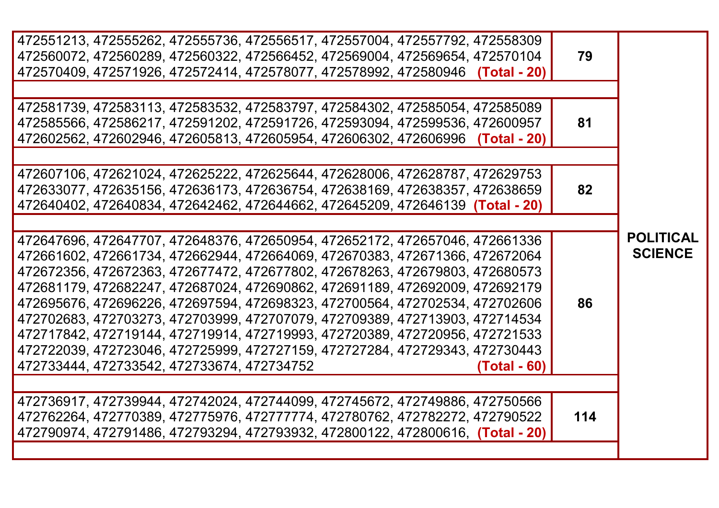| 472551213, 472555262, 472555736, 472556517, 472557004, 472557792, 472558309<br>472560072, 472560289, 472560322, 472566452, 472569004, 472569654, 472570104<br>472570409, 472571926, 472572414, 472578077, 472578992, 472580946 (Total - 20)                                                                                                                                                                                                                                                                                                                                                                                                                                                                          | 79  |                                    |
|----------------------------------------------------------------------------------------------------------------------------------------------------------------------------------------------------------------------------------------------------------------------------------------------------------------------------------------------------------------------------------------------------------------------------------------------------------------------------------------------------------------------------------------------------------------------------------------------------------------------------------------------------------------------------------------------------------------------|-----|------------------------------------|
| 472581739, 472583113, 472583532, 472583797, 472584302, 472585054, 472585089<br>472585566, 472586217, 472591202, 472591726, 472593094, 472599536, 472600957<br>472602562, 472602946, 472605813, 472605954, 472606302, 472606996 (Total - 20)                                                                                                                                                                                                                                                                                                                                                                                                                                                                          | 81  |                                    |
| 472607106, 472621024, 472625222, 472625644, 472628006, 472628787, 472629753<br>472633077, 472635156, 472636173, 472636754, 472638169, 472638357, 472638659<br>472640402, 472640834, 472642462, 472644662, 472645209, 472646139 (Total - 20)                                                                                                                                                                                                                                                                                                                                                                                                                                                                          | 82  |                                    |
| 472647696, 472647707, 472648376, 472650954, 472652172, 472657046, 472661336<br>472661602, 472661734, 472662944, 472664069, 472670383, 472671366, 472672064<br>472672356, 472672363, 472677472, 472677802, 472678263, 472679803, 472680573<br>472681179, 472682247, 472687024, 472690862, 472691189, 472692009, 472692179<br>472695676, 472696226, 472697594, 472698323, 472700564, 472702534, 472702606<br>472702683, 472703273, 472703999, 472707079, 472709389, 472713903, 472714534<br>472717842, 472719144, 472719914, 472719993, 472720389, 472720956, 472721533<br>472722039, 472723046, 472725999, 472727159, 472727284, 472729343, 472730443<br>472733444, 472733542, 472733674, 472734752<br>$(Total - 60)$ | 86  | <b>POLITICAL</b><br><b>SCIENCE</b> |
| 472736917, 472739944, 472742024, 472744099, 472745672, 472749886, 472750566<br>472762264, 472770389, 472775976, 472777774, 472780762, 472782272, 472790522<br>472790974, 472791486, 472793294, 472793932, 472800122, 472800616, (Total - 20)                                                                                                                                                                                                                                                                                                                                                                                                                                                                         | 114 |                                    |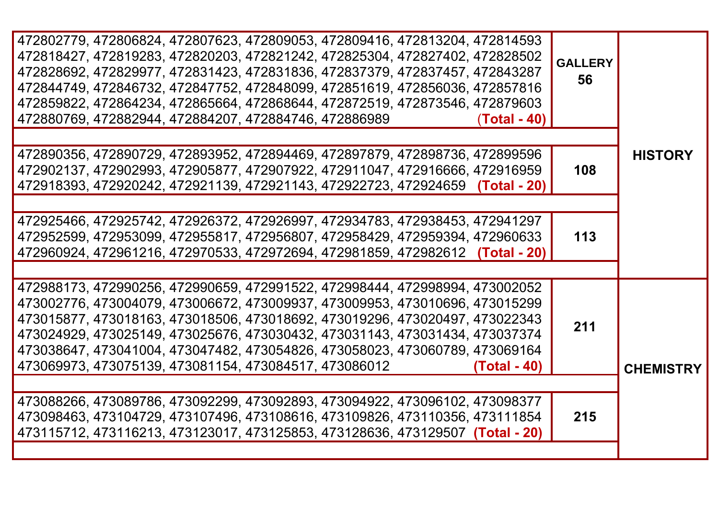|                  | <b>GALLERY</b><br>56 | 472802779, 472806824, 472807623, 472809053, 472809416, 472813204, 472814593   |
|------------------|----------------------|-------------------------------------------------------------------------------|
|                  |                      | 472818427, 472819283, 472820203, 472821242, 472825304, 472827402, 472828502   |
|                  |                      | 472828692, 472829977, 472831423, 472831836, 472837379, 472837457, 472843287   |
|                  |                      | 472844749, 472846732, 472847752, 472848099, 472851619, 472856036, 472857816   |
|                  |                      | 472859822, 472864234, 472865664, 472868644, 472872519, 472873546, 472879603   |
|                  |                      | 472880769, 472882944, 472884207, 472884746, 472886989<br>(Total - 40)         |
|                  |                      |                                                                               |
|                  |                      |                                                                               |
| <b>HISTORY</b>   |                      | 472890356, 472890729, 472893952, 472894469, 472897879, 472898736, 472899596   |
|                  | 108                  | 472902137, 472902993, 472905877, 472907922, 472911047, 472916666, 472916959   |
|                  |                      | 472918393, 472920242, 472921139, 472921143, 472922723, 472924659 (Total - 20) |
|                  |                      |                                                                               |
|                  | 113                  | 472925466, 472925742, 472926372, 472926997, 472934783, 472938453, 472941297   |
|                  |                      | 472952599, 472953099, 472955817, 472956807, 472958429, 472959394, 472960633   |
|                  |                      | 472960924, 472961216, 472970533, 472972694, 472981859, 472982612 (Total - 20) |
|                  |                      |                                                                               |
|                  |                      | 472988173, 472990256, 472990659, 472991522, 472998444, 472998994, 473002052   |
|                  |                      | 473002776, 473004079, 473006672, 473009937, 473009953, 473010696, 473015299   |
|                  |                      | 473015877, 473018163, 473018506, 473018692, 473019296, 473020497, 473022343   |
|                  | 211                  |                                                                               |
|                  |                      | 473024929, 473025149, 473025676, 473030432, 473031143, 473031434, 473037374   |
|                  |                      | 473038647, 473041004, 473047482, 473054826, 473058023, 473060789, 473069164   |
| <b>CHEMISTRY</b> |                      | 473069973, 473075139, 473081154, 473084517, 473086012<br>(Total - 40)         |
|                  |                      |                                                                               |
|                  | 215                  | 473088266, 473089786, 473092299, 473092893, 473094922, 473096102, 473098377   |
|                  |                      | 473098463, 473104729, 473107496, 473108616, 473109826, 473110356, 473111854   |
|                  |                      | 473115712, 473116213, 473123017, 473125853, 473128636, 473129507 (Total - 20) |
|                  |                      |                                                                               |
|                  |                      |                                                                               |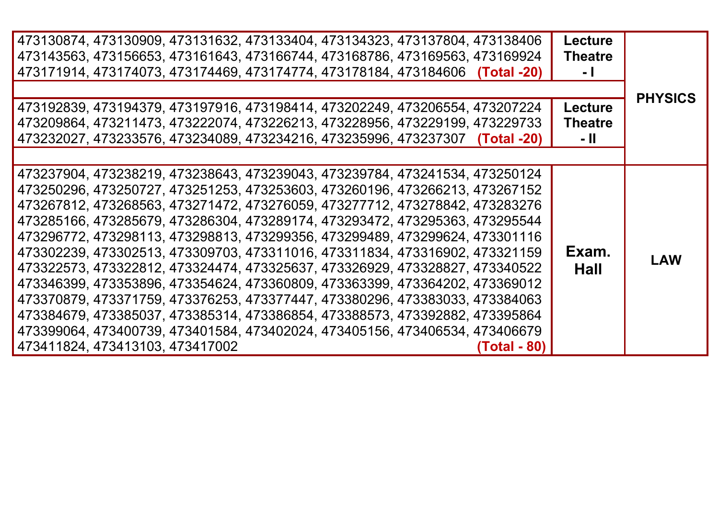|                                 | 473130874, 473130909, 473131632, 473133404, 473134323, 473137804, 473138406<br>473143563, 473156653, 473161643, 473166744, 473168786, 473169563, 473169924<br>473171914, 473174073, 473174469, 473174774, 473178184, 473184606 (Total -20)<br>473192839, 473194379, 473197916, 473198414, 473202249, 473206554, 473207224<br>473209864, 473211473, 473222074, 473226213, 473228956, 473229199, 473229733                                                                                                                                                                                                                                                                                                                                                                                                                                                                                                          | <b>Lecture</b><br><b>Theatre</b><br>- 1<br><b>Lecture</b><br><b>Theatre</b> | <b>PHYSICS</b> |
|---------------------------------|-------------------------------------------------------------------------------------------------------------------------------------------------------------------------------------------------------------------------------------------------------------------------------------------------------------------------------------------------------------------------------------------------------------------------------------------------------------------------------------------------------------------------------------------------------------------------------------------------------------------------------------------------------------------------------------------------------------------------------------------------------------------------------------------------------------------------------------------------------------------------------------------------------------------|-----------------------------------------------------------------------------|----------------|
|                                 | 473232027, 473233576, 473234089, 473234216, 473235996, 473237307 (Total -20)                                                                                                                                                                                                                                                                                                                                                                                                                                                                                                                                                                                                                                                                                                                                                                                                                                      | - 11                                                                        |                |
| 473411824, 473413103, 473417002 | 473237904, 473238219, 473238643, 473239043, 473239784, 473241534, 473250124<br>473250296, 473250727, 473251253, 473253603, 473260196, 473266213, 473267152<br>473267812, 473268563, 473271472, 473276059, 473277712, 473278842, 473283276<br>473285166, 473285679, 473286304, 473289174, 473293472, 473295363, 473295544<br>473296772, 473298113, 473298813, 473299356, 473299489, 473299624, 473301116<br>473302239, 473302513, 473309703, 473311016, 473311834, 473316902, 473321159<br>473322573, 473322812, 473324474, 473325637, 473326929, 473328827, 473340522<br>473346399, 473353896, 473354624, 473360809, 473363399, 473364202, 473369012<br>473370879, 473371759, 473376253, 473377447, 473380296, 473383033, 473384063<br>473384679, 473385037, 473385314, 473386854, 473388573, 473392882, 473395864<br>473399064, 473400739, 473401584, 473402024, 473405156, 473406534, 473406679<br>(Total - 80) | Exam.<br>Hall                                                               | <b>LAW</b>     |